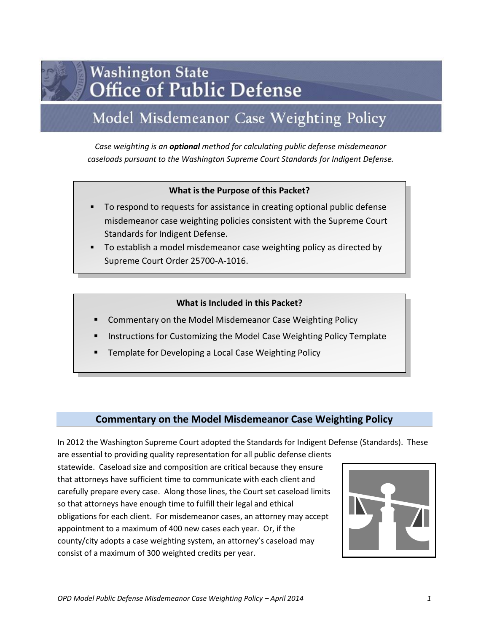# **Washington State** Office of Public Defense

# Model Misdemeanor Case Weighting Policy

*Case weighting is an optional method for calculating public defense misdemeanor caseloads pursuant to the Washington Supreme Court Standards for Indigent Defense.*

# **What is the Purpose of this Packet?**

- To respond to requests for assistance in creating optional public defense misdemeanor case weighting policies consistent with the Supreme Court Standards for Indigent Defense.
- To establish a model misdemeanor case weighting policy as directed by Supreme Court Order 25700-A-1016.

#### **What is Included in this Packet?**

- Commentary on the Model Misdemeanor Case Weighting Policy
- Instructions for Customizing the Model Case Weighting Policy Template
- Template for Developing a Local Case Weighting Policy

# **Commentary on the Model Misdemeanor Case Weighting Policy**

In 2012 the Washington Supreme Court adopted the Standards for Indigent Defense (Standards). These are essential to providing quality representation for all public defense clients

statewide. Caseload size and composition are critical because they ensure that attorneys have sufficient time to communicate with each client and carefully prepare every case. Along those lines, the Court set caseload limits so that attorneys have enough time to fulfill their legal and ethical obligations for each client. For misdemeanor cases, an attorney may accept appointment to a maximum of 400 new cases each year. Or, if the county/city adopts a case weighting system, an attorney's caseload may consist of a maximum of 300 weighted credits per year.

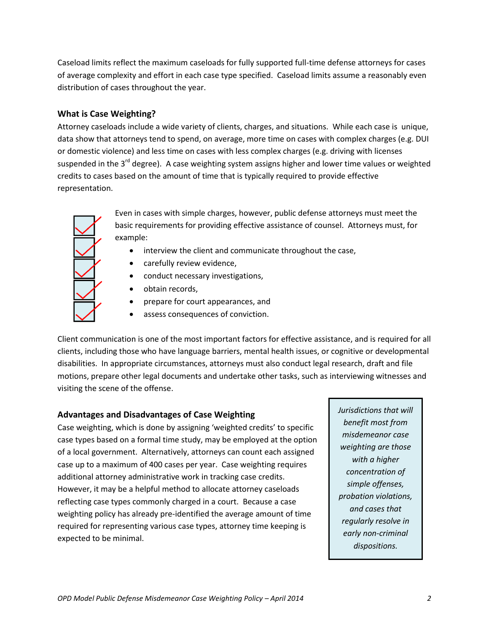Caseload limits reflect the maximum caseloads for fully supported full-time defense attorneys for cases of average complexity and effort in each case type specified. Caseload limits assume a reasonably even distribution of cases throughout the year.

## **What is Case Weighting?**

Attorney caseloads include a wide variety of clients, charges, and situations. While each case is unique, data show that attorneys tend to spend, on average, more time on cases with complex charges (e.g. DUI or domestic violence) and less time on cases with less complex charges (e.g. driving with licenses suspended in the 3<sup>rd</sup> degree). A case weighting system assigns higher and lower time values or weighted credits to cases based on the amount of time that is typically required to provide effective representation.



Even in cases with simple charges, however, public defense attorneys must meet the basic requirements for providing effective assistance of counsel. Attorneys must, for example:

- interview the client and communicate throughout the case,
- carefully review evidence,
- conduct necessary investigations,
- obtain records,
- prepare for court appearances, and
- assess consequences of conviction.

Client communication is one of the most important factors for effective assistance, and is required for all clients, including those who have language barriers, mental health issues, or cognitive or developmental disabilities. In appropriate circumstances, attorneys must also conduct legal research, draft and file motions, prepare other legal documents and undertake other tasks, such as interviewing witnesses and visiting the scene of the offense.

## **Advantages and Disadvantages of Case Weighting**

Case weighting, which is done by assigning 'weighted credits' to specific case types based on a formal time study, may be employed at the option of a local government. Alternatively, attorneys can count each assigned case up to a maximum of 400 cases per year. Case weighting requires additional attorney administrative work in tracking case credits. However, it may be a helpful method to allocate attorney caseloads reflecting case types commonly charged in a court. Because a case weighting policy has already pre-identified the average amount of time required for representing various case types, attorney time keeping is expected to be minimal.

*Jurisdictions that will benefit most from misdemeanor case weighting are those with a higher concentration of simple offenses, probation violations, and cases that regularly resolve in early non-criminal dispositions.*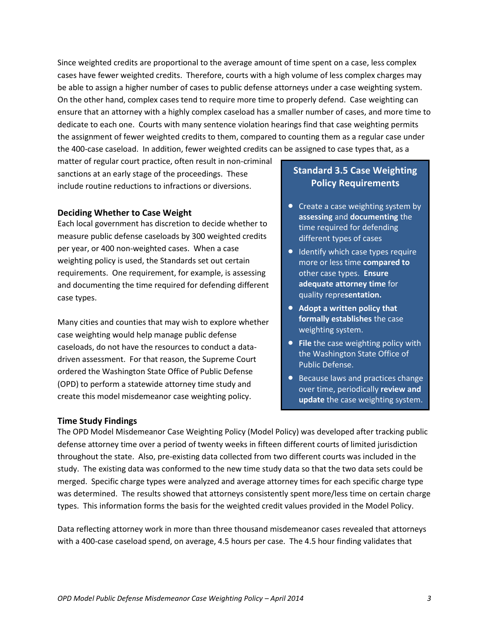Since weighted credits are proportional to the average amount of time spent on a case, less complex cases have fewer weighted credits. Therefore, courts with a high volume of less complex charges may be able to assign a higher number of cases to public defense attorneys under a case weighting system. On the other hand, complex cases tend to require more time to properly defend. Case weighting can ensure that an attorney with a highly complex caseload has a smaller number of cases, and more time to dedicate to each one. Courts with many sentence violation hearings find that case weighting permits the assignment of fewer weighted credits to them, compared to counting them as a regular case under the 400-case caseload. In addition, fewer weighted credits can be assigned to case types that, as a

matter of regular court practice, often result in non-criminal sanctions at an early stage of the proceedings. These include routine reductions to infractions or diversions.

#### **Deciding Whether to Case Weight**

Each local government has discretion to decide whether to measure public defense caseloads by 300 weighted credits per year, or 400 non-weighted cases. When a case weighting policy is used, the Standards set out certain requirements. One requirement, for example, is assessing and documenting the time required for defending different case types.

Many cities and counties that may wish to explore whether case weighting would help manage public defense caseloads, do not have the resources to conduct a datadriven assessment. For that reason, the Supreme Court ordered the Washington State Office of Public Defense (OPD) to perform a statewide attorney time study and create this model misdemeanor case weighting policy.

## **Time Study Findings**

# **Standard 3.5 Case Weighting Policy Requirements**

- Create a case weighting system by **assessing** and **documenting** the time required for defending different types of cases
- Identify which case types require more or less time **compared to**  other case types. **Ensure adequate attorney time** for quality repre**sentation.**
- **Adopt a written policy that formally establishes** the case weighting system.
- **File** the case weighting policy with the Washington State Office of Public Defense.
- Because laws and practices change over time, periodically **review and update** the case weighting system.

The OPD Model Misdemeanor Case Weighting Policy (Model Policy) was developed after tracking public defense attorney time over a period of twenty weeks in fifteen different courts of limited jurisdiction throughout the state. Also, pre-existing data collected from two different courts was included in the study. The existing data was conformed to the new time study data so that the two data sets could be merged. Specific charge types were analyzed and average attorney times for each specific charge type was determined. The results showed that attorneys consistently spent more/less time on certain charge types. This information forms the basis for the weighted credit values provided in the Model Policy.

Data reflecting attorney work in more than three thousand misdemeanor cases revealed that attorneys with a 400-case caseload spend, on average, 4.5 hours per case. The 4.5 hour finding validates that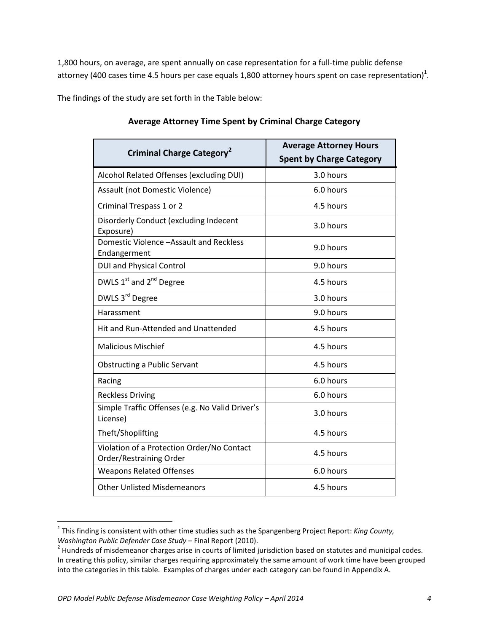1,800 hours, on average, are spent annually on case representation for a full-time public defense attorney (400 cases time 4.5 hours per case equals 1,800 attorney hours spent on case representation)<sup>1</sup>.

The findings of the study are set forth in the Table below:

| <b>Criminal Charge Category<sup>2</sup></b>                           | <b>Average Attorney Hours</b><br><b>Spent by Charge Category</b> |  |
|-----------------------------------------------------------------------|------------------------------------------------------------------|--|
|                                                                       |                                                                  |  |
| Alcohol Related Offenses (excluding DUI)                              | 3.0 hours                                                        |  |
| Assault (not Domestic Violence)                                       | 6.0 hours                                                        |  |
| Criminal Trespass 1 or 2                                              | 4.5 hours                                                        |  |
| Disorderly Conduct (excluding Indecent<br>Exposure)                   | 3.0 hours                                                        |  |
| Domestic Violence - Assault and Reckless<br>Endangerment              | 9.0 hours                                                        |  |
| <b>DUI and Physical Control</b>                                       | 9.0 hours                                                        |  |
| DWLS 1 <sup>st</sup> and 2 <sup>nd</sup> Degree                       | 4.5 hours                                                        |  |
| DWLS 3rd Degree                                                       | 3.0 hours                                                        |  |
| Harassment                                                            | 9.0 hours                                                        |  |
| Hit and Run-Attended and Unattended                                   | 4.5 hours                                                        |  |
| <b>Malicious Mischief</b>                                             | 4.5 hours                                                        |  |
| <b>Obstructing a Public Servant</b>                                   | 4.5 hours                                                        |  |
| Racing                                                                | 6.0 hours                                                        |  |
| <b>Reckless Driving</b>                                               | 6.0 hours                                                        |  |
| Simple Traffic Offenses (e.g. No Valid Driver's<br>License)           | 3.0 hours                                                        |  |
| Theft/Shoplifting                                                     | 4.5 hours                                                        |  |
| Violation of a Protection Order/No Contact<br>Order/Restraining Order | 4.5 hours                                                        |  |
| <b>Weapons Related Offenses</b>                                       | 6.0 hours                                                        |  |
| <b>Other Unlisted Misdemeanors</b>                                    | 4.5 hours                                                        |  |

## **Average Attorney Time Spent by Criminal Charge Category**

l

<sup>1</sup> This finding is consistent with other time studies such as the Spangenberg Project Report: *King County, Washington Public Defender Case Study* – Final Report (2010).

 $^2$  Hundreds of misdemeanor charges arise in courts of limited jurisdiction based on statutes and municipal codes. In creating this policy, similar charges requiring approximately the same amount of work time have been grouped into the categories in this table. Examples of charges under each category can be found in Appendix A.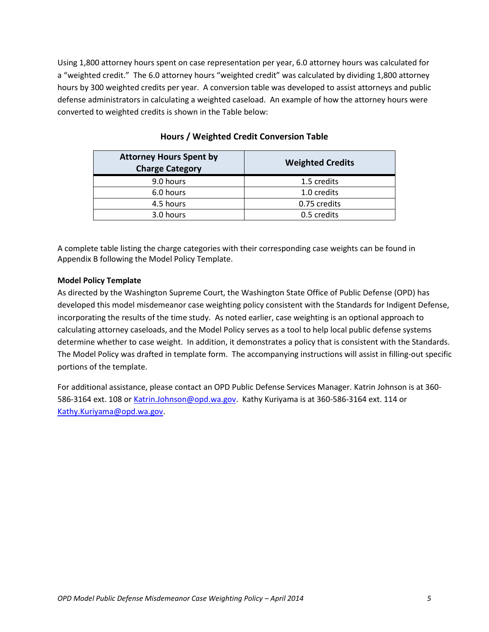Using 1,800 attorney hours spent on case representation per year, 6.0 attorney hours was calculated for a "weighted credit." The 6.0 attorney hours "weighted credit" was calculated by dividing 1,800 attorney hours by 300 weighted credits per year. A conversion table was developed to assist attorneys and public defense administrators in calculating a weighted caseload. An example of how the attorney hours were converted to weighted credits is shown in the Table below:

| <b>Attorney Hours Spent by</b><br><b>Charge Category</b> | <b>Weighted Credits</b> |
|----------------------------------------------------------|-------------------------|
| 9.0 hours                                                | 1.5 credits             |
| 6.0 hours                                                | 1.0 credits             |
| 4.5 hours                                                | 0.75 credits            |
| 3.0 hours                                                | 0.5 credits             |

**Hours / Weighted Credit Conversion Table**

A complete table listing the charge categories with their corresponding case weights can be found in Appendix B following the Model Policy Template.

## **Model Policy Template**

As directed by the Washington Supreme Court, the Washington State Office of Public Defense (OPD) has developed this model misdemeanor case weighting policy consistent with the Standards for Indigent Defense, incorporating the results of the time study. As noted earlier, case weighting is an optional approach to calculating attorney caseloads, and the Model Policy serves as a tool to help local public defense systems determine whether to case weight. In addition, it demonstrates a policy that is consistent with the Standards. The Model Policy was drafted in template form. The accompanying instructions will assist in filling-out specific portions of the template.

For additional assistance, please contact an OPD Public Defense Services Manager. Katrin Johnson is at 360- 586-3164 ext. 108 or [Katrin.Johnson@opd.wa.gov.](mailto:Katrin.Johnson@opd.wa.gov) Kathy Kuriyama is at 360-586-3164 ext. 114 or [Kathy.Kuriyama@opd.wa.gov.](mailto:Kathy.Kuriyama@opd.wa.gov)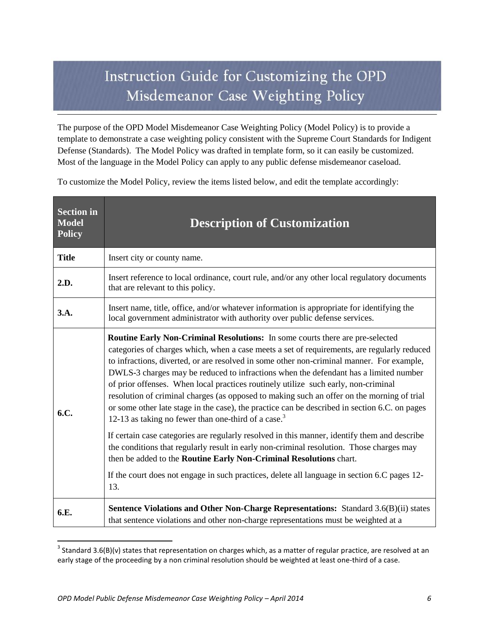# Instruction Guide for Customizing the OPD Misdemeanor Case Weighting Policy

The purpose of the OPD Model Misdemeanor Case Weighting Policy (Model Policy) is to provide a template to demonstrate a case weighting policy consistent with the Supreme Court Standards for Indigent Defense (Standards). The Model Policy was drafted in template form, so it can easily be customized. Most of the language in the Model Policy can apply to any public defense misdemeanor caseload.

To customize the Model Policy, review the items listed below, and edit the template accordingly:

| <b>Section in</b><br><b>Model</b><br><b>Policy</b> | <b>Description of Customization</b>                                                                                                                                                                                                                                                                                                                                                                                                                                                                                                                                                                                                                                                                                                                                                                                                                                                                                                                                                                                                                                                              |
|----------------------------------------------------|--------------------------------------------------------------------------------------------------------------------------------------------------------------------------------------------------------------------------------------------------------------------------------------------------------------------------------------------------------------------------------------------------------------------------------------------------------------------------------------------------------------------------------------------------------------------------------------------------------------------------------------------------------------------------------------------------------------------------------------------------------------------------------------------------------------------------------------------------------------------------------------------------------------------------------------------------------------------------------------------------------------------------------------------------------------------------------------------------|
| <b>Title</b>                                       | Insert city or county name.                                                                                                                                                                                                                                                                                                                                                                                                                                                                                                                                                                                                                                                                                                                                                                                                                                                                                                                                                                                                                                                                      |
| 2.D.                                               | Insert reference to local ordinance, court rule, and/or any other local regulatory documents<br>that are relevant to this policy.                                                                                                                                                                                                                                                                                                                                                                                                                                                                                                                                                                                                                                                                                                                                                                                                                                                                                                                                                                |
| 3.A.                                               | Insert name, title, office, and/or whatever information is appropriate for identifying the<br>local government administrator with authority over public defense services.                                                                                                                                                                                                                                                                                                                                                                                                                                                                                                                                                                                                                                                                                                                                                                                                                                                                                                                        |
| 6.C.                                               | <b>Routine Early Non-Criminal Resolutions:</b> In some courts there are pre-selected<br>categories of charges which, when a case meets a set of requirements, are regularly reduced<br>to infractions, diverted, or are resolved in some other non-criminal manner. For example,<br>DWLS-3 charges may be reduced to infractions when the defendant has a limited number<br>of prior offenses. When local practices routinely utilize such early, non-criminal<br>resolution of criminal charges (as opposed to making such an offer on the morning of trial<br>or some other late stage in the case), the practice can be described in section 6.C. on pages<br>12-13 as taking no fewer than one-third of a case. $3$<br>If certain case categories are regularly resolved in this manner, identify them and describe<br>the conditions that regularly result in early non-criminal resolution. Those charges may<br>then be added to the Routine Early Non-Criminal Resolutions chart.<br>If the court does not engage in such practices, delete all language in section 6.C pages 12-<br>13. |
| 6.E.                                               | <b>Sentence Violations and Other Non-Charge Representations:</b> Standard 3.6(B)(ii) states<br>that sentence violations and other non-charge representations must be weighted at a                                                                                                                                                                                                                                                                                                                                                                                                                                                                                                                                                                                                                                                                                                                                                                                                                                                                                                               |

<sup>&</sup>lt;sup>3</sup> Standard 3.6(B)(v) states that representation on charges which, as a matter of regular practice, are resolved at an early stage of the proceeding by a non criminal resolution should be weighted at least one-third of a case.

 $\overline{\phantom{a}}$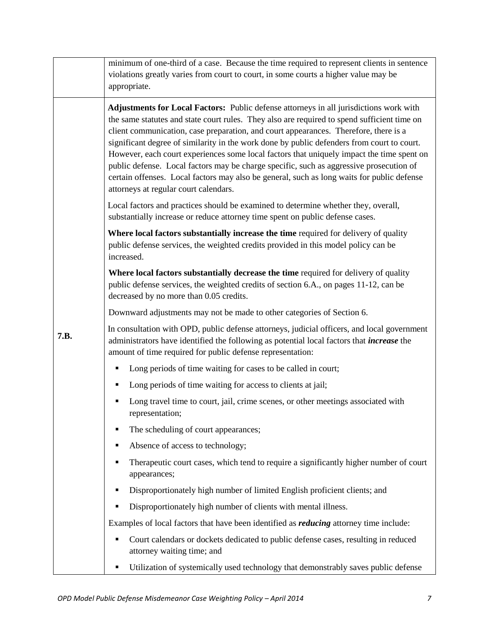|      | minimum of one-third of a case. Because the time required to represent clients in sentence<br>violations greatly varies from court to court, in some courts a higher value may be                                                                                                                                                                                                                                                                                                                                                                                                                                                                                                                          |
|------|------------------------------------------------------------------------------------------------------------------------------------------------------------------------------------------------------------------------------------------------------------------------------------------------------------------------------------------------------------------------------------------------------------------------------------------------------------------------------------------------------------------------------------------------------------------------------------------------------------------------------------------------------------------------------------------------------------|
|      | appropriate.                                                                                                                                                                                                                                                                                                                                                                                                                                                                                                                                                                                                                                                                                               |
|      | Adjustments for Local Factors: Public defense attorneys in all jurisdictions work with<br>the same statutes and state court rules. They also are required to spend sufficient time on<br>client communication, case preparation, and court appearances. Therefore, there is a<br>significant degree of similarity in the work done by public defenders from court to court.<br>However, each court experiences some local factors that uniquely impact the time spent on<br>public defense. Local factors may be charge specific, such as aggressive prosecution of<br>certain offenses. Local factors may also be general, such as long waits for public defense<br>attorneys at regular court calendars. |
|      | Local factors and practices should be examined to determine whether they, overall,<br>substantially increase or reduce attorney time spent on public defense cases.                                                                                                                                                                                                                                                                                                                                                                                                                                                                                                                                        |
|      | Where local factors substantially increase the time required for delivery of quality<br>public defense services, the weighted credits provided in this model policy can be<br>increased.                                                                                                                                                                                                                                                                                                                                                                                                                                                                                                                   |
|      | Where local factors substantially decrease the time required for delivery of quality<br>public defense services, the weighted credits of section 6.A., on pages 11-12, can be<br>decreased by no more than 0.05 credits.                                                                                                                                                                                                                                                                                                                                                                                                                                                                                   |
|      | Downward adjustments may not be made to other categories of Section 6.                                                                                                                                                                                                                                                                                                                                                                                                                                                                                                                                                                                                                                     |
| 7.B. | In consultation with OPD, public defense attorneys, judicial officers, and local government<br>administrators have identified the following as potential local factors that <i>increase</i> the<br>amount of time required for public defense representation:                                                                                                                                                                                                                                                                                                                                                                                                                                              |
|      | Long periods of time waiting for cases to be called in court;<br>٠                                                                                                                                                                                                                                                                                                                                                                                                                                                                                                                                                                                                                                         |
|      | Long periods of time waiting for access to clients at jail;<br>٠                                                                                                                                                                                                                                                                                                                                                                                                                                                                                                                                                                                                                                           |
|      | Long travel time to court, jail, crime scenes, or other meetings associated with<br>representation;                                                                                                                                                                                                                                                                                                                                                                                                                                                                                                                                                                                                        |
|      | The scheduling of court appearances;<br>٠                                                                                                                                                                                                                                                                                                                                                                                                                                                                                                                                                                                                                                                                  |
|      | Absence of access to technology;<br>٠                                                                                                                                                                                                                                                                                                                                                                                                                                                                                                                                                                                                                                                                      |
|      | Therapeutic court cases, which tend to require a significantly higher number of court<br>٠<br>appearances;                                                                                                                                                                                                                                                                                                                                                                                                                                                                                                                                                                                                 |
|      | Disproportionately high number of limited English proficient clients; and<br>٠                                                                                                                                                                                                                                                                                                                                                                                                                                                                                                                                                                                                                             |
|      | Disproportionately high number of clients with mental illness.<br>٠                                                                                                                                                                                                                                                                                                                                                                                                                                                                                                                                                                                                                                        |
|      | Examples of local factors that have been identified as <i>reducing</i> attorney time include:                                                                                                                                                                                                                                                                                                                                                                                                                                                                                                                                                                                                              |
|      | Court calendars or dockets dedicated to public defense cases, resulting in reduced<br>٠<br>attorney waiting time; and                                                                                                                                                                                                                                                                                                                                                                                                                                                                                                                                                                                      |
|      | Utilization of systemically used technology that demonstrably saves public defense<br>٠                                                                                                                                                                                                                                                                                                                                                                                                                                                                                                                                                                                                                    |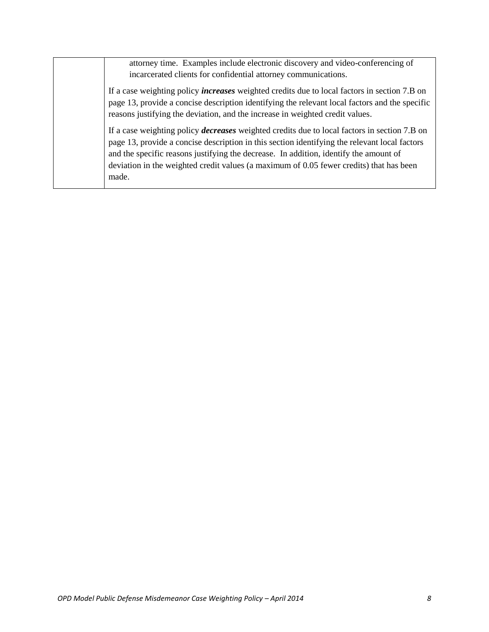attorney time. Examples include electronic discovery and video-conferencing of incarcerated clients for confidential attorney communications.

If a case weighting policy *increases* weighted credits due to local factors in section 7.B on page 13, provide a concise description identifying the relevant local factors and the specific reasons justifying the deviation, and the increase in weighted credit values.

If a case weighting policy *decreases* weighted credits due to local factors in section 7.B on page 13, provide a concise description in this section identifying the relevant local factors and the specific reasons justifying the decrease. In addition, identify the amount of deviation in the weighted credit values (a maximum of 0.05 fewer credits) that has been made.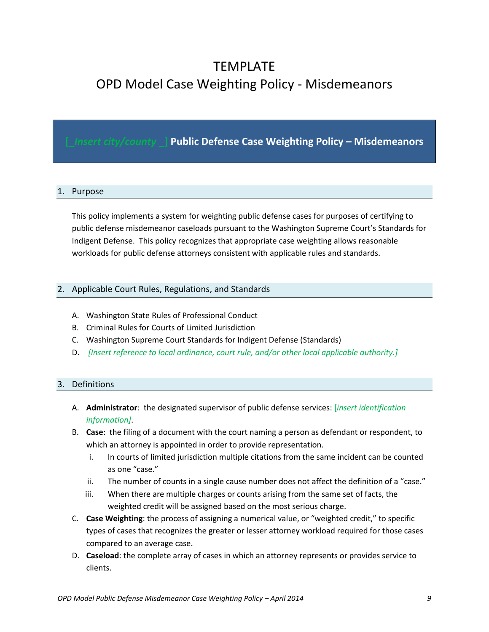# TEMPLATE OPD Model Case Weighting Policy - Misdemeanors

# **[\_***Insert city/county* **\_] Public Defense Case Weighting Policy – Misdemeanors**

#### 1. Purpose

This policy implements a system for weighting public defense cases for purposes of certifying to public defense misdemeanor caseloads pursuant to the Washington Supreme Court's Standards for Indigent Defense. This policy recognizes that appropriate case weighting allows reasonable workloads for public defense attorneys consistent with applicable rules and standards.

#### 2. Applicable Court Rules, Regulations, and Standards

- A. Washington State Rules of Professional Conduct
- B. Criminal Rules for Courts of Limited Jurisdiction
- C. Washington Supreme Court Standards for Indigent Defense (Standards)
- D. *[Insert reference to local ordinance, court rule, and/or other local applicable authority.]*

#### 3. Definitions

- A. **Administrator**: the designated supervisor of public defense services: [*insert identification information]*.
- B. **Case**: the filing of a document with the court naming a person as defendant or respondent, to which an attorney is appointed in order to provide representation.
	- i. In courts of limited jurisdiction multiple citations from the same incident can be counted as one "case."
	- ii. The number of counts in a single cause number does not affect the definition of a "case."
	- iii. When there are multiple charges or counts arising from the same set of facts, the weighted credit will be assigned based on the most serious charge.
- C. **Case Weighting**: the process of assigning a numerical value, or "weighted credit," to specific types of cases that recognizes the greater or lesser attorney workload required for those cases compared to an average case.
- D. **Caseload**: the complete array of cases in which an attorney represents or provides service to clients.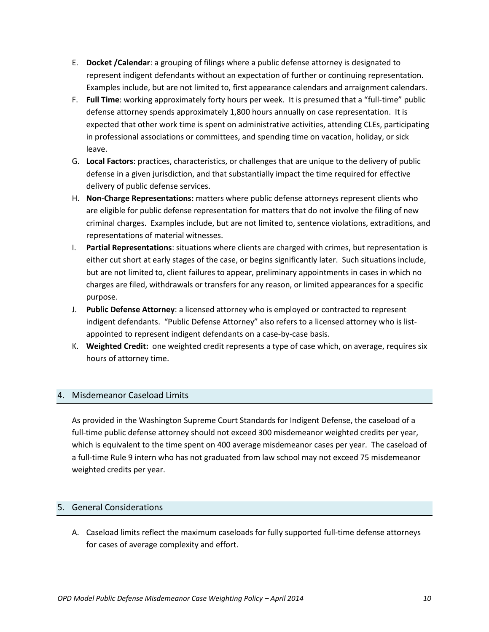- E. **Docket /Calendar**: a grouping of filings where a public defense attorney is designated to represent indigent defendants without an expectation of further or continuing representation. Examples include, but are not limited to, first appearance calendars and arraignment calendars.
- F. **Full Time**: working approximately forty hours per week. It is presumed that a "full-time" public defense attorney spends approximately 1,800 hours annually on case representation. It is expected that other work time is spent on administrative activities, attending CLEs, participating in professional associations or committees, and spending time on vacation, holiday, or sick leave.
- G. **Local Factors**: practices, characteristics, or challenges that are unique to the delivery of public defense in a given jurisdiction, and that substantially impact the time required for effective delivery of public defense services.
- H. **Non-Charge Representations:** matters where public defense attorneys represent clients who are eligible for public defense representation for matters that do not involve the filing of new criminal charges. Examples include, but are not limited to, sentence violations, extraditions, and representations of material witnesses.
- I. **Partial Representations**: situations where clients are charged with crimes, but representation is either cut short at early stages of the case, or begins significantly later. Such situations include, but are not limited to, client failures to appear, preliminary appointments in cases in which no charges are filed, withdrawals or transfers for any reason, or limited appearances for a specific purpose.
- J. **Public Defense Attorney**: a licensed attorney who is employed or contracted to represent indigent defendants. "Public Defense Attorney" also refers to a licensed attorney who is listappointed to represent indigent defendants on a case-by-case basis.
- K. **Weighted Credit:** one weighted credit represents a type of case which, on average, requires six hours of attorney time.

## 4. Misdemeanor Caseload Limits

As provided in the Washington Supreme Court Standards for Indigent Defense, the caseload of a full-time public defense attorney should not exceed 300 misdemeanor weighted credits per year, which is equivalent to the time spent on 400 average misdemeanor cases per year. The caseload of a full-time Rule 9 intern who has not graduated from law school may not exceed 75 misdemeanor weighted credits per year.

## 5. General Considerations

A. Caseload limits reflect the maximum caseloads for fully supported full-time defense attorneys for cases of average complexity and effort.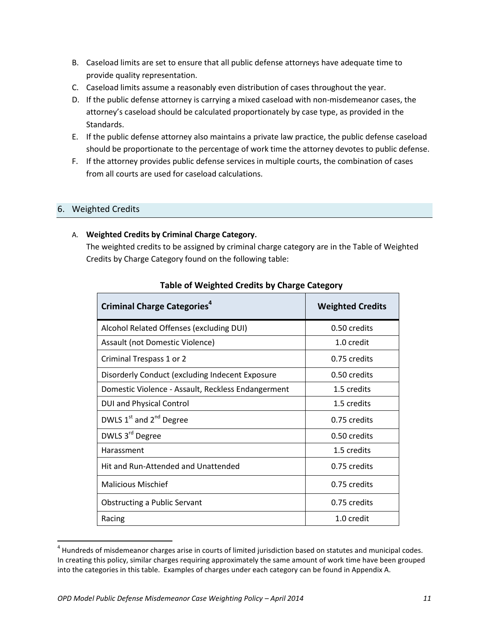- B. Caseload limits are set to ensure that all public defense attorneys have adequate time to provide quality representation.
- C. Caseload limits assume a reasonably even distribution of cases throughout the year.
- D. If the public defense attorney is carrying a mixed caseload with non-misdemeanor cases, the attorney's caseload should be calculated proportionately by case type, as provided in the Standards.
- E. If the public defense attorney also maintains a private law practice, the public defense caseload should be proportionate to the percentage of work time the attorney devotes to public defense.
- F. If the attorney provides public defense services in multiple courts, the combination of cases from all courts are used for caseload calculations.

#### 6. Weighted Credits

 $\overline{\phantom{a}}$ 

#### A. **Weighted Credits by Criminal Charge Category.**

The weighted credits to be assigned by criminal charge category are in the Table of Weighted Credits by Charge Category found on the following table:

| <b>Criminal Charge Categories<sup>4</sup></b>      | <b>Weighted Credits</b> |
|----------------------------------------------------|-------------------------|
| Alcohol Related Offenses (excluding DUI)           | 0.50 credits            |
| Assault (not Domestic Violence)                    | 1.0 credit              |
| Criminal Trespass 1 or 2                           | 0.75 credits            |
| Disorderly Conduct (excluding Indecent Exposure    | 0.50 credits            |
| Domestic Violence - Assault, Reckless Endangerment | 1.5 credits             |
| <b>DUI and Physical Control</b>                    | 1.5 credits             |
| DWLS $1st$ and $2nd$ Degree                        | 0.75 credits            |
| DWLS 3rd Degree                                    | 0.50 credits            |
| Harassment                                         | 1.5 credits             |
| Hit and Run-Attended and Unattended                | 0.75 credits            |
| <b>Malicious Mischief</b>                          | 0.75 credits            |
| <b>Obstructing a Public Servant</b>                | 0.75 credits            |
| Racing                                             | 1.0 credit              |

# **Table of Weighted Credits by Charge Category**

<sup>&</sup>lt;sup>4</sup> Hundreds of misdemeanor charges arise in courts of limited jurisdiction based on statutes and municipal codes. In creating this policy, similar charges requiring approximately the same amount of work time have been grouped into the categories in this table. Examples of charges under each category can be found in Appendix A.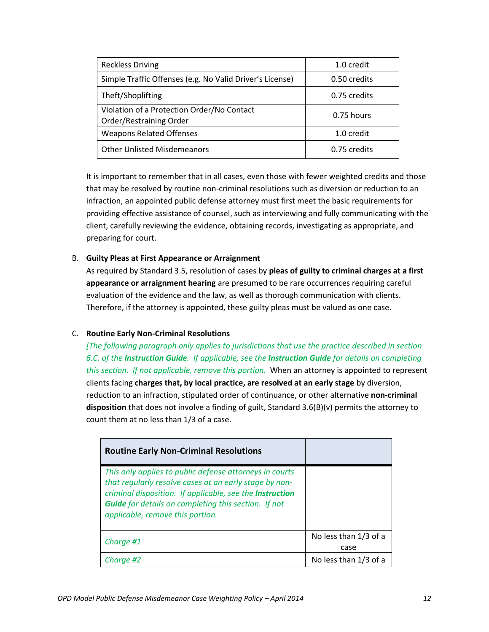| <b>Reckless Driving</b>                                               | 1.0 credit   |
|-----------------------------------------------------------------------|--------------|
| Simple Traffic Offenses (e.g. No Valid Driver's License)              | 0.50 credits |
| Theft/Shoplifting                                                     | 0.75 credits |
| Violation of a Protection Order/No Contact<br>Order/Restraining Order | 0.75 hours   |
| <b>Weapons Related Offenses</b>                                       | 1.0 credit   |
| <b>Other Unlisted Misdemeanors</b>                                    | 0.75 credits |

It is important to remember that in all cases, even those with fewer weighted credits and those that may be resolved by routine non-criminal resolutions such as diversion or reduction to an infraction, an appointed public defense attorney must first meet the basic requirements for providing effective assistance of counsel, such as interviewing and fully communicating with the client, carefully reviewing the evidence, obtaining records, investigating as appropriate, and preparing for court.

#### B. **Guilty Pleas at First Appearance or Arraignment**

As required by Standard 3.5, resolution of cases by **pleas of guilty to criminal charges at a first appearance or arraignment hearing** are presumed to be rare occurrences requiring careful evaluation of the evidence and the law, as well as thorough communication with clients. Therefore, if the attorney is appointed, these guilty pleas must be valued as one case.

#### C. **Routine Early Non-Criminal Resolutions**

*[The following paragraph only applies to jurisdictions that use the practice described in section 6.C. of the Instruction Guide. If applicable, see the Instruction Guide for details on completing this section. If not applicable, remove this portion.* When an attorney is appointed to represent clients facing **charges that, by local practice, are resolved at an early stage** by diversion, reduction to an infraction, stipulated order of continuance, or other alternative **non-criminal disposition** that does not involve a finding of guilt, Standard 3.6(B)(v) permits the attorney to count them at no less than 1/3 of a case.

| <b>Routine Early Non-Criminal Resolutions</b>                                                                                                                                                                                                                                    |                               |
|----------------------------------------------------------------------------------------------------------------------------------------------------------------------------------------------------------------------------------------------------------------------------------|-------------------------------|
| This only applies to public defense attorneys in courts<br>that regularly resolve cases at an early stage by non-<br>criminal disposition. If applicable, see the Instruction<br><b>Guide</b> for details on completing this section. If not<br>applicable, remove this portion. |                               |
| Charge #1                                                                                                                                                                                                                                                                        | No less than 1/3 of a<br>case |
| Charge #2                                                                                                                                                                                                                                                                        | No less than 1/3 of a         |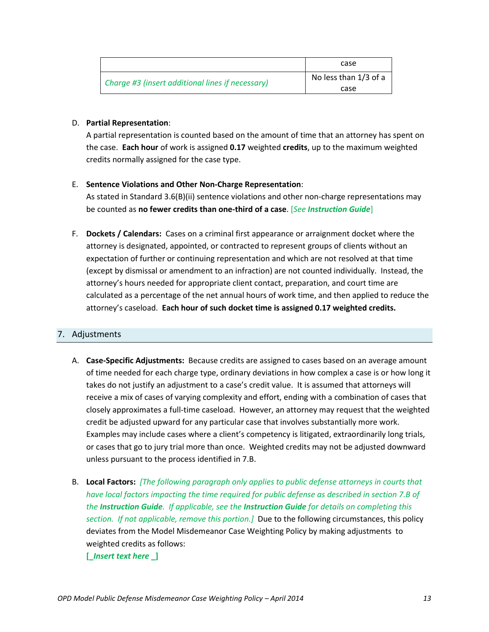|                                                  | case                  |
|--------------------------------------------------|-----------------------|
| Charge #3 (insert additional lines if necessary) | No less than 1/3 of a |
|                                                  | case                  |

#### D. **Partial Representation**:

A partial representation is counted based on the amount of time that an attorney has spent on the case. **Each hour** of work is assigned **0.17** weighted **credits**, up to the maximum weighted credits normally assigned for the case type.

#### E. **Sentence Violations and Other Non-Charge Representation**:

As stated in Standard 3.6(B)(ii) sentence violations and other non-charge representations may be counted as **no fewer credits than one-third of a case**. [*See Instruction Guide*]

F. **Dockets / Calendars:** Cases on a criminal first appearance or arraignment docket where the attorney is designated, appointed, or contracted to represent groups of clients without an expectation of further or continuing representation and which are not resolved at that time (except by dismissal or amendment to an infraction) are not counted individually. Instead, the attorney's hours needed for appropriate client contact, preparation, and court time are calculated as a percentage of the net annual hours of work time, and then applied to reduce the attorney's caseload. **Each hour of such docket time is assigned 0.17 weighted credits.**

## 7. Adjustments

- A. **Case-Specific Adjustments:** Because credits are assigned to cases based on an average amount of time needed for each charge type, ordinary deviations in how complex a case is or how long it takes do not justify an adjustment to a case's credit value. It is assumed that attorneys will receive a mix of cases of varying complexity and effort, ending with a combination of cases that closely approximates a full-time caseload. However, an attorney may request that the weighted credit be adjusted upward for any particular case that involves substantially more work. Examples may include cases where a client's competency is litigated, extraordinarily long trials, or cases that go to jury trial more than once. Weighted credits may not be adjusted downward unless pursuant to the process identified in 7.B.
- B. **Local Factors:** *[The following paragraph only applies to public defense attorneys in courts that have local factors impacting the time required for public defense as described in section 7.B of the Instruction Guide. If applicable, see the Instruction Guide for details on completing this section. If not applicable, remove this portion.]* Due to the following circumstances, this policy deviates from the Model Misdemeanor Case Weighting Policy by making adjustments to weighted credits as follows:

**[\_***Insert text here* **\_]**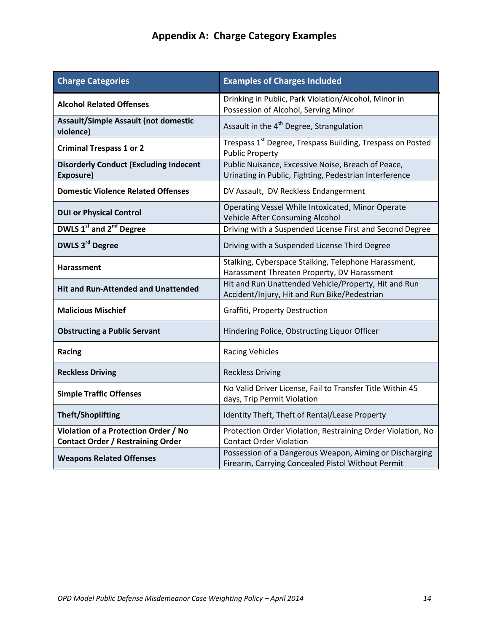# **Appendix A: Charge Category Examples**

| <b>Charge Categories</b>                                                         | <b>Examples of Charges Included</b>                                                                          |  |
|----------------------------------------------------------------------------------|--------------------------------------------------------------------------------------------------------------|--|
| <b>Alcohol Related Offenses</b>                                                  | Drinking in Public, Park Violation/Alcohol, Minor in<br>Possession of Alcohol, Serving Minor                 |  |
| <b>Assault/Simple Assault (not domestic</b><br>violence)                         | Assault in the 4 <sup>th</sup> Degree, Strangulation                                                         |  |
| <b>Criminal Trespass 1 or 2</b>                                                  | Trespass 1 <sup>st</sup> Degree, Trespass Building, Trespass on Posted<br><b>Public Property</b>             |  |
| <b>Disorderly Conduct (Excluding Indecent</b><br>Exposure)                       | Public Nuisance, Excessive Noise, Breach of Peace,<br>Urinating in Public, Fighting, Pedestrian Interference |  |
| <b>Domestic Violence Related Offenses</b>                                        | DV Assault, DV Reckless Endangerment                                                                         |  |
| <b>DUI or Physical Control</b>                                                   | Operating Vessel While Intoxicated, Minor Operate<br>Vehicle After Consuming Alcohol                         |  |
| DWLS 1 <sup>st</sup> and 2 <sup>nd</sup> Degree                                  | Driving with a Suspended License First and Second Degree                                                     |  |
| DWLS 3 <sup>rd</sup> Degree                                                      | Driving with a Suspended License Third Degree                                                                |  |
| <b>Harassment</b>                                                                | Stalking, Cyberspace Stalking, Telephone Harassment,<br>Harassment Threaten Property, DV Harassment          |  |
| <b>Hit and Run-Attended and Unattended</b>                                       | Hit and Run Unattended Vehicle/Property, Hit and Run<br>Accident/Injury, Hit and Run Bike/Pedestrian         |  |
| <b>Malicious Mischief</b>                                                        | Graffiti, Property Destruction                                                                               |  |
| <b>Obstructing a Public Servant</b>                                              | Hindering Police, Obstructing Liquor Officer                                                                 |  |
| Racing                                                                           | <b>Racing Vehicles</b>                                                                                       |  |
| <b>Reckless Driving</b>                                                          | <b>Reckless Driving</b>                                                                                      |  |
| <b>Simple Traffic Offenses</b>                                                   | No Valid Driver License, Fail to Transfer Title Within 45<br>days, Trip Permit Violation                     |  |
| <b>Theft/Shoplifting</b>                                                         | Identity Theft, Theft of Rental/Lease Property                                                               |  |
| Violation of a Protection Order / No<br><b>Contact Order / Restraining Order</b> | Protection Order Violation, Restraining Order Violation, No<br><b>Contact Order Violation</b>                |  |
| <b>Weapons Related Offenses</b>                                                  | Possession of a Dangerous Weapon, Aiming or Discharging<br>Firearm, Carrying Concealed Pistol Without Permit |  |